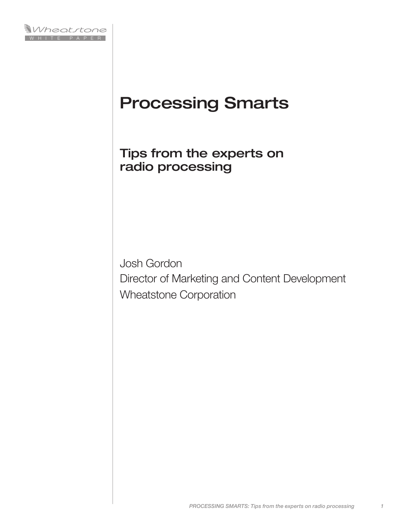

# Processing Smarts

Tips from the experts on radio processing

Josh Gordon Director of Marketing and Content Development Wheatstone Corporation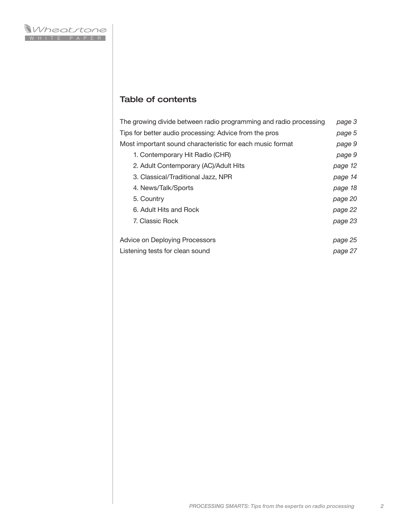# Table of contents

| The growing divide between radio programming and radio processing | page 3  |
|-------------------------------------------------------------------|---------|
| Tips for better audio processing: Advice from the pros            | page 5  |
| Most important sound characteristic for each music format         | page 9  |
| 1. Contemporary Hit Radio (CHR)                                   | page 9  |
| 2. Adult Contemporary (AC)/Adult Hits                             | page 12 |
| 3. Classical/Traditional Jazz, NPR                                | page 14 |
| 4. News/Talk/Sports                                               | page 18 |
| 5. Country                                                        | page 20 |
| 6. Adult Hits and Rock                                            | page 22 |
| 7. Classic Rock                                                   | page 23 |
| Advice on Deploying Processors                                    | page 25 |
| Listening tests for clean sound                                   | page 27 |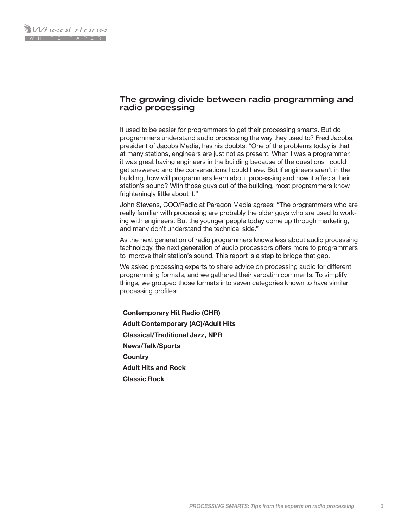# The growing divide between radio programming and radio processing

It used to be easier for programmers to get their processing smarts. But do programmers understand audio processing the way they used to? Fred Jacobs, president of Jacobs Media, has his doubts: "One of the problems today is that at many stations, engineers are just not as present. When I was a programmer, it was great having engineers in the building because of the questions I could get answered and the conversations I could have. But if engineers aren't in the building, how will programmers learn about processing and how it affects their station's sound? With those guys out of the building, most programmers know frighteningly little about it."

John Stevens, COO/Radio at Paragon Media agrees: "The programmers who are really familiar with processing are probably the older guys who are used to working with engineers. But the younger people today come up through marketing, and many don't understand the technical side."

As the next generation of radio programmers knows less about audio processing technology, the next generation of audio processors offers more to programmers to improve their station's sound. This report is a step to bridge that gap.

We asked processing experts to share advice on processing audio for different programming formats, and we gathered their verbatim comments. To simplify things, we grouped those formats into seven categories known to have similar processing profiles:

**Contemporary Hit Radio (CHR) Adult Contemporary (AC)/Adult Hits Classical/Traditional Jazz, NPR News/Talk/Sports Country Adult Hits and Rock Classic Rock**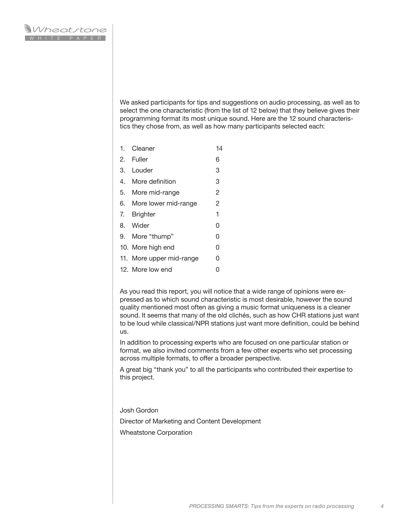We asked participants for tips and suggestions on audio processing, as well as to select the one characteristic (from the list of 12 below) that they believe gives their programming format its most unique sound. Here are the 12 sound characteristics they chose from, as well as how many participants selected each:

- 1. Cleaner 14
- 2. Fuller 6
- 3. Louder 3
- 4. More definition 3
- 5. More mid-range 2
- 6. More lower mid-range 2
- 7. Brighter 1
- 8. Wider 0
- 9. More "thump" 0
- 10. More high end 0
- 11. More upper mid-range 0
- 12. More low end 0

As you read this report, you will notice that a wide range of opinions were expressed as to which sound characteristic is most desirable, however the sound quality mentioned most often as giving a music format uniqueness is a cleaner sound. It seems that many of the old clichés, such as how CHR stations just want to be loud while classical/NPR stations just want more definition, could be behind us.

In addition to processing experts who are focused on one particular station or format, we also invited comments from a few other experts who set processing across multiple formats, to offer a broader perspective.

A great big "thank you" to all the participants who contributed their expertise to this project.

Josh Gordon

Director of Marketing and Content Development

Wheatstone Corporation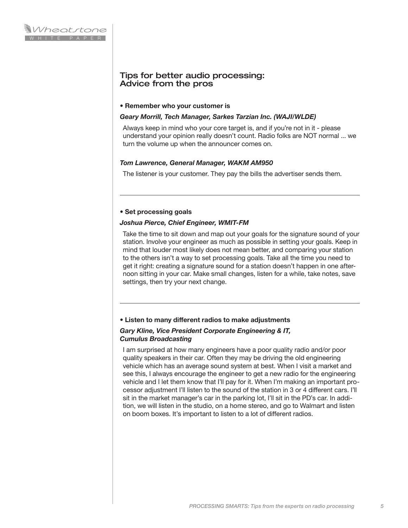# Tips for better audio processing: Advice from the pros

#### **• Remember who your customer is**

#### *Geary Morrill, Tech Manager, Sarkes Tarzian Inc. (WAJI/WLDE)*

Always keep in mind who your core target is, and if you're not in it - please understand your opinion really doesn't count. Radio folks are NOT normal ... we turn the volume up when the announcer comes on.

## *Tom Lawrence, General Manager, WAKM AM950*

The listener is your customer. They pay the bills the advertiser sends them.

#### **• Set processing goals**

#### *Joshua Pierce, Chief Engineer, WMIT-FM*

Take the time to sit down and map out your goals for the signature sound of your station. Involve your engineer as much as possible in setting your goals. Keep in mind that louder most likely does not mean better, and comparing your station to the others isn't a way to set processing goals. Take all the time you need to get it right: creating a signature sound for a station doesn't happen in one afternoon sitting in your car. Make small changes, listen for a while, take notes, save settings, then try your next change.

#### **• Listen to many different radios to make adjustments**

## *Gary Kline, Vice President Corporate Engineering & IT, Cumulus Broadcasting*

I am surprised at how many engineers have a poor quality radio and/or poor quality speakers in their car. Often they may be driving the old engineering vehicle which has an average sound system at best. When I visit a market and see this, I always encourage the engineer to get a new radio for the engineering vehicle and I let them know that I'll pay for it. When I'm making an important processor adjustment I'll listen to the sound of the station in 3 or 4 different cars. I'll sit in the market manager's car in the parking lot, I'll sit in the PD's car. In addition, we will listen in the studio, on a home stereo, and go to Walmart and listen on boom boxes. It's important to listen to a lot of different radios.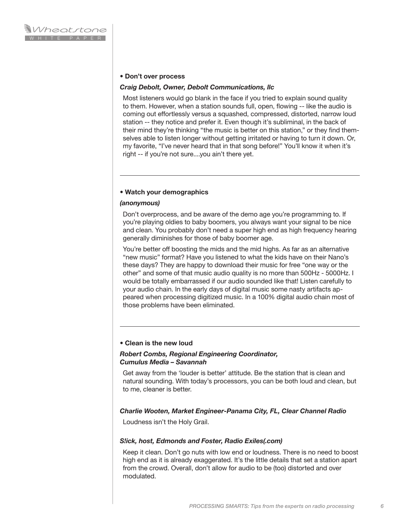#### **• Don't over process**

#### *Craig Debolt, Owner, Debolt Communications, llc*

Most listeners would go blank in the face if you tried to explain sound quality to them. However, when a station sounds full, open, flowing -- like the audio is coming out effortlessly versus a squashed, compressed, distorted, narrow loud station -- they notice and prefer it. Even though it's subliminal, in the back of their mind they're thinking "the music is better on this station," or they find themselves able to listen longer without getting irritated or having to turn it down. Or, my favorite, "I've never heard that in that song before!" You'll know it when it's right -- if you're not sure....you ain't there yet.

#### **• Watch your demographics**

#### *(anonymous)*

Don't overprocess, and be aware of the demo age you're programming to. If you're playing oldies to baby boomers, you always want your signal to be nice and clean. You probably don't need a super high end as high frequency hearing generally diminishes for those of baby boomer age.

You're better off boosting the mids and the mid highs. As far as an alternative "new music" format? Have you listened to what the kids have on their Nano's these days? They are happy to download their music for free "one way or the other" and some of that music audio quality is no more than 500Hz - 5000Hz. I would be totally embarrassed if our audio sounded like that! Listen carefully to your audio chain. In the early days of digital music some nasty artifacts appeared when processing digitized music. In a 100% digital audio chain most of those problems have been eliminated.

#### **• Clean is the new loud**

#### *Robert Combs, Regional Engineering Coordinator, Cumulus Media – Savannah*

Get away from the 'louder is better' attitude. Be the station that is clean and natural sounding. With today's processors, you can be both loud and clean, but to me, cleaner is better.

#### *Charlie Wooten, Market Engineer-Panama City, FL, Clear Channel Radio*

Loudness isn't the Holy Grail.

#### *S!ick, host, Edmonds and Foster, Radio Exiles(.com)*

Keep it clean. Don't go nuts with low end or loudness. There is no need to boost high end as it is already exaggerated. It's the little details that set a station apart from the crowd. Overall, don't allow for audio to be (too) distorted and over modulated.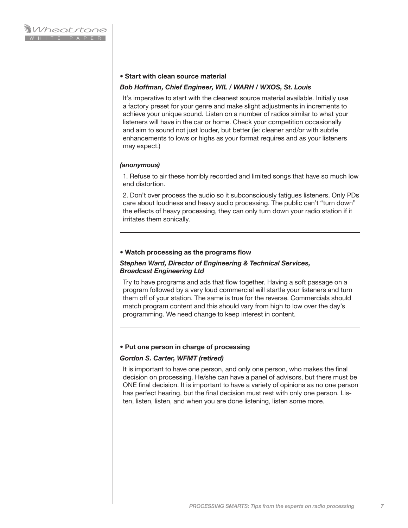#### **• Start with clean source material**

#### *Bob Hoffman, Chief Engineer, WIL / WARH / WXOS, St. Louis*

It's imperative to start with the cleanest source material available. Initially use a factory preset for your genre and make slight adjustments in increments to achieve your unique sound. Listen on a number of radios similar to what your listeners will have in the car or home. Check your competition occasionally and aim to sound not just louder, but better (ie: cleaner and/or with subtle enhancements to lows or highs as your format requires and as your listeners may expect.)

#### *(anonymous)*

1. Refuse to air these horribly recorded and limited songs that have so much low end distortion.

2. Don't over process the audio so it subconsciously fatigues listeners. Only PDs care about loudness and heavy audio processing. The public can't "turn down" the effects of heavy processing, they can only turn down your radio station if it irritates them sonically.

#### **• Watch processing as the programs flow**

#### *Stephen Ward, Director of Engineering & Technical Services, Broadcast Engineering Ltd*

Try to have programs and ads that flow together. Having a soft passage on a program followed by a very loud commercial will startle your listeners and turn them off of your station. The same is true for the reverse. Commercials should match program content and this should vary from high to low over the day's programming. We need change to keep interest in content.

#### **• Put one person in charge of processing**

#### *Gordon S. Carter, WFMT (retired)*

It is important to have one person, and only one person, who makes the final decision on processing. He/she can have a panel of advisors, but there must be ONE final decision. It is important to have a variety of opinions as no one person has perfect hearing, but the final decision must rest with only one person. Listen, listen, listen, and when you are done listening, listen some more.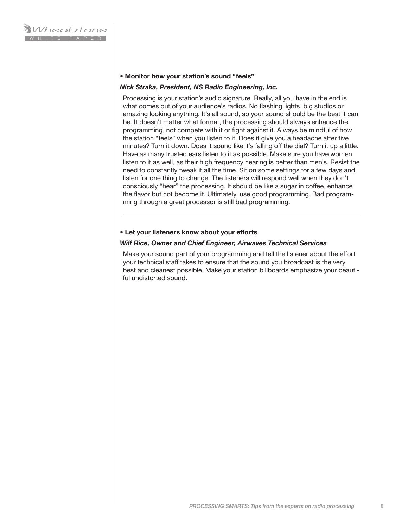#### **• Monitor how your station's sound "feels"**

#### *Nick Straka, President, NS Radio Engineering, Inc.*

Processing is your station's audio signature. Really, all you have in the end is what comes out of your audience's radios. No flashing lights, big studios or amazing looking anything. It's all sound, so your sound should be the best it can be. It doesn't matter what format, the processing should always enhance the programming, not compete with it or fight against it. Always be mindful of how the station "feels" when you listen to it. Does it give you a headache after five minutes? Turn it down. Does it sound like it's falling off the dial? Turn it up a little. Have as many trusted ears listen to it as possible. Make sure you have women listen to it as well, as their high frequency hearing is better than men's. Resist the need to constantly tweak it all the time. Sit on some settings for a few days and listen for one thing to change. The listeners will respond well when they don't consciously "hear" the processing. It should be like a sugar in coffee, enhance the flavor but not become it. Ultimately, use good programming. Bad programming through a great processor is still bad programming.

#### **• Let your listeners know about your efforts**

#### *Wilf Rice, Owner and Chief Engineer, Airwaves Technical Services*

Make your sound part of your programming and tell the listener about the effort your technical staff takes to ensure that the sound you broadcast is the very best and cleanest possible. Make your station billboards emphasize your beautiful undistorted sound.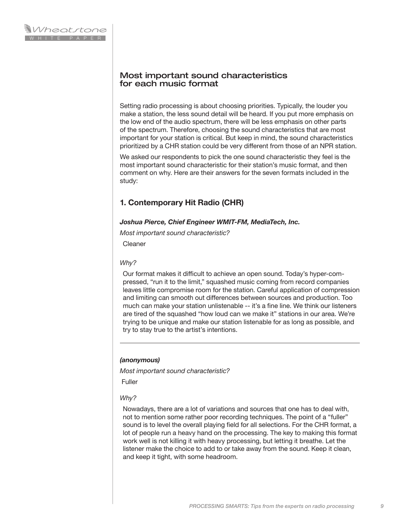# Most important sound characteristics for each music format

Setting radio processing is about choosing priorities. Typically, the louder you make a station, the less sound detail will be heard. If you put more emphasis on the low end of the audio spectrum, there will be less emphasis on other parts of the spectrum. Therefore, choosing the sound characteristics that are most important for your station is critical. But keep in mind, the sound characteristics prioritized by a CHR station could be very different from those of an NPR station.

We asked our respondents to pick the one sound characteristic they feel is the most important sound characteristic for their station's music format, and then comment on why. Here are their answers for the seven formats included in the study:

# **1. Contemporary Hit Radio (CHR)**

# *Joshua Pierce, Chief Engineer WMIT-FM, MediaTech, Inc.*

*Most important sound characteristic?*

Cleaner

# *Why?*

Our format makes it difficult to achieve an open sound. Today's hyper-compressed, "run it to the limit," squashed music coming from record companies leaves little compromise room for the station. Careful application of compression and limiting can smooth out differences between sources and production. Too much can make your station unlistenable -- it's a fine line. We think our listeners are tired of the squashed "how loud can we make it" stations in our area. We're trying to be unique and make our station listenable for as long as possible, and try to stay true to the artist's intentions.

# *(anonymous)*

*Most important sound characteristic?*

Fuller

# *Why?*

Nowadays, there are a lot of variations and sources that one has to deal with, not to mention some rather poor recording techniques. The point of a "fuller" sound is to level the overall playing field for all selections. For the CHR format, a lot of people run a heavy hand on the processing. The key to making this format work well is not killing it with heavy processing, but letting it breathe. Let the listener make the choice to add to or take away from the sound. Keep it clean, and keep it tight, with some headroom.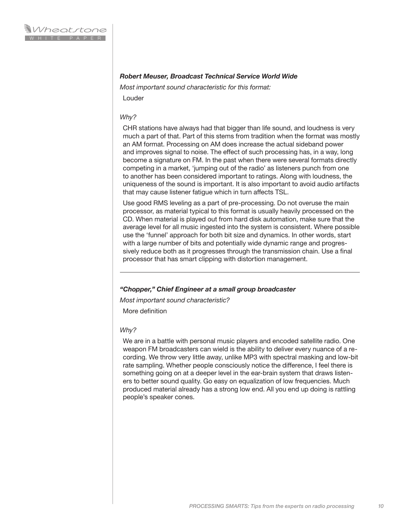## *Robert Meuser, Broadcast Technical Service World Wide*

*Most important sound characteristic for this format:* 

Louder

#### *Why?*

CHR stations have always had that bigger than life sound, and loudness is very much a part of that. Part of this stems from tradition when the format was mostly an AM format. Processing on AM does increase the actual sideband power and improves signal to noise. The effect of such processing has, in a way, long become a signature on FM. In the past when there were several formats directly competing in a market, 'jumping out of the radio' as listeners punch from one to another has been considered important to ratings. Along with loudness, the uniqueness of the sound is important. It is also important to avoid audio artifacts that may cause listener fatigue which in turn affects TSL.

Use good RMS leveling as a part of pre-processing. Do not overuse the main processor, as material typical to this format is usually heavily processed on the CD. When material is played out from hard disk automation, make sure that the average level for all music ingested into the system is consistent. Where possible use the 'funnel' approach for both bit size and dynamics. In other words, start with a large number of bits and potentially wide dynamic range and progressively reduce both as it progresses through the transmission chain. Use a final processor that has smart clipping with distortion management.

#### *"Chopper," Chief Engineer at a small group broadcaster*

*Most important sound characteristic?* 

More definition

#### *Why?*

We are in a battle with personal music players and encoded satellite radio. One weapon FM broadcasters can wield is the ability to deliver every nuance of a recording. We throw very little away, unlike MP3 with spectral masking and low-bit rate sampling. Whether people consciously notice the difference, I feel there is something going on at a deeper level in the ear-brain system that draws listeners to better sound quality. Go easy on equalization of low frequencies. Much produced material already has a strong low end. All you end up doing is rattling people's speaker cones.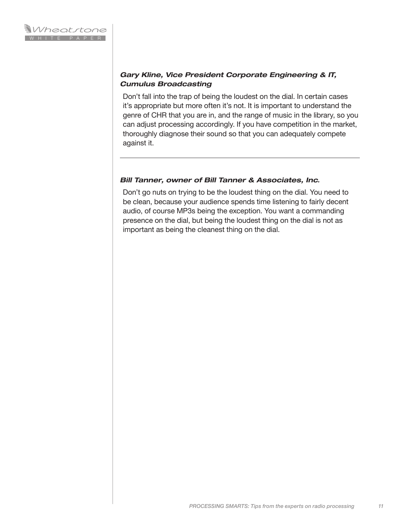# *Gary Kline, Vice President Corporate Engineering & IT, Cumulus Broadcasting*

Don't fall into the trap of being the loudest on the dial. In certain cases it's appropriate but more often it's not. It is important to understand the genre of CHR that you are in, and the range of music in the library, so you can adjust processing accordingly. If you have competition in the market, thoroughly diagnose their sound so that you can adequately compete against it.

# *Bill Tanner, owner of Bill Tanner & Associates, Inc.*

Don't go nuts on trying to be the loudest thing on the dial. You need to be clean, because your audience spends time listening to fairly decent audio, of course MP3s being the exception. You want a commanding presence on the dial, but being the loudest thing on the dial is not as important as being the cleanest thing on the dial.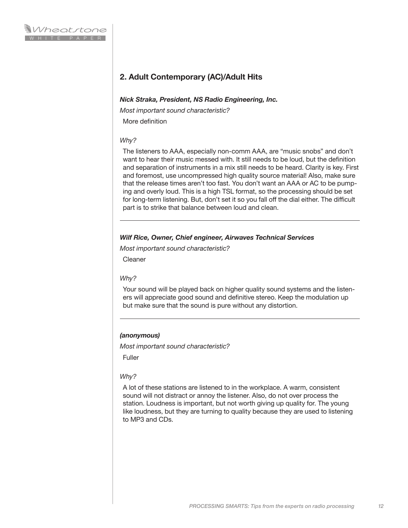# **2. Adult Contemporary (AC)/Adult Hits**

#### *Nick Straka, President, NS Radio Engineering, Inc.*

*Most important sound characteristic?* More definition

# *Why?*

The listeners to AAA, especially non-comm AAA, are "music snobs" and don't want to hear their music messed with. It still needs to be loud, but the definition and separation of instruments in a mix still needs to be heard. Clarity is key. First and foremost, use uncompressed high quality source material! Also, make sure that the release times aren't too fast. You don't want an AAA or AC to be pumping and overly loud. This is a high TSL format, so the processing should be set for long-term listening. But, don't set it so you fall off the dial either. The difficult part is to strike that balance between loud and clean.

# *Wilf Rice, Owner, Chief engineer, Airwaves Technical Services*

*Most important sound characteristic?*

Cleaner

# *Why?*

Your sound will be played back on higher quality sound systems and the listeners will appreciate good sound and definitive stereo. Keep the modulation up but make sure that the sound is pure without any distortion.

# *(anonymous)*

*Most important sound characteristic?*

Fuller

# *Why?*

A lot of these stations are listened to in the workplace. A warm, consistent sound will not distract or annoy the listener. Also, do not over process the station. Loudness is important, but not worth giving up quality for. The young like loudness, but they are turning to quality because they are used to listening to MP3 and CDs.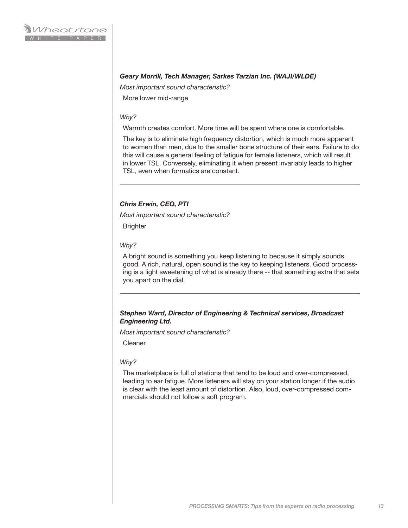# *Geary Morrill, Tech Manager, Sarkes Tarzian Inc. (WAJI/WLDE)*

*Most important sound characteristic?*

More lower mid-range

#### *Why?*

Warmth creates comfort. More time will be spent where one is comfortable.

The key is to eliminate high frequency distortion, which is much more apparent to women than men, due to the smaller bone structure of their ears. Failure to do this will cause a general feeling of fatigue for female listeners, which will result in lower TSL. Conversely, eliminating it when present invariably leads to higher TSL, even when formatics are constant.

# *Chris Erwin, CEO, PTI*

*Most important sound characteristic?*

**Brighter** 

#### *Why?*

A bright sound is something you keep listening to because it simply sounds good. A rich, natural, open sound is the key to keeping listeners. Good processing is a light sweetening of what is already there -- that something extra that sets you apart on the dial.

# *Stephen Ward, Director of Engineering & Technical services, Broadcast Engineering Ltd.*

*Most important sound characteristic?*

Cleaner

#### *Why?*

The marketplace is full of stations that tend to be loud and over-compressed, leading to ear fatigue. More listeners will stay on your station longer if the audio is clear with the least amount of distortion. Also, loud, over-compressed commercials should not follow a soft program.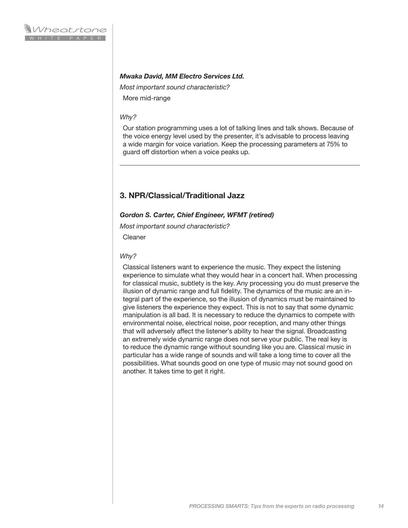## *Mwaka David, MM Electro Services Ltd.*

*Most important sound characteristic?*

More mid-range

#### *Why?*

Our station programming uses a lot of talking lines and talk shows. Because of the voice energy level used by the presenter, it's advisable to process leaving a wide margin for voice variation. Keep the processing parameters at 75% to guard off distortion when a voice peaks up.

# **3. NPR/Classical/Traditional Jazz**

#### *Gordon S. Carter, Chief Engineer, WFMT (retired)*

*Most important sound characteristic?*

Cleaner

#### *Why?*

Classical listeners want to experience the music. They expect the listening experience to simulate what they would hear in a concert hall. When processing for classical music, subtlety is the key. Any processing you do must preserve the illusion of dynamic range and full fidelity. The dynamics of the music are an integral part of the experience, so the illusion of dynamics must be maintained to give listeners the experience they expect. This is not to say that some dynamic manipulation is all bad. It is necessary to reduce the dynamics to compete with environmental noise, electrical noise, poor reception, and many other things that will adversely affect the listener's ability to hear the signal. Broadcasting an extremely wide dynamic range does not serve your public. The real key is to reduce the dynamic range without sounding like you are. Classical music in particular has a wide range of sounds and will take a long time to cover all the possibilities. What sounds good on one type of music may not sound good on another. It takes time to get it right.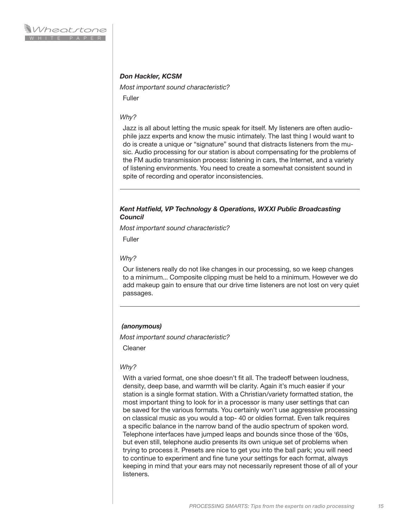# *Don Hackler, KCSM*

*Most important sound characteristic?*

Fuller

#### *Why?*

Jazz is all about letting the music speak for itself. My listeners are often audiophile jazz experts and know the music intimately. The last thing I would want to do is create a unique or "signature" sound that distracts listeners from the music. Audio processing for our station is about compensating for the problems of the FM audio transmission process: listening in cars, the Internet, and a variety of listening environments. You need to create a somewhat consistent sound in spite of recording and operator inconsistencies.

## *Kent Hatfield, VP Technology & Operations, WXXI Public Broadcasting Council*

*Most important sound characteristic?*

Fuller

#### *Why?*

Our listeners really do not like changes in our processing, so we keep changes to a minimum... Composite clipping must be held to a minimum. However we do add makeup gain to ensure that our drive time listeners are not lost on very quiet passages.

#### *(anonymous)*

*Most important sound characteristic?*

Cleaner

#### *Why?*

With a varied format, one shoe doesn't fit all. The tradeoff between loudness, density, deep base, and warmth will be clarity. Again it's much easier if your station is a single format station. With a Christian/variety formatted station, the most important thing to look for in a processor is many user settings that can be saved for the various formats. You certainly won't use aggressive processing on classical music as you would a top- 40 or oldies format. Even talk requires a specific balance in the narrow band of the audio spectrum of spoken word. Telephone interfaces have jumped leaps and bounds since those of the '60s, but even still, telephone audio presents its own unique set of problems when trying to process it. Presets are nice to get you into the ball park; you will need to continue to experiment and fine tune your settings for each format, always keeping in mind that your ears may not necessarily represent those of all of your listeners.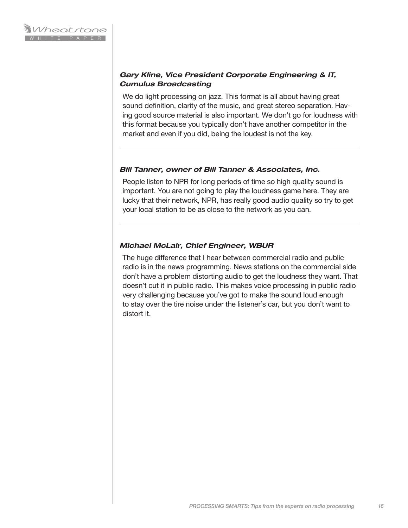# *Gary Kline, Vice President Corporate Engineering & IT, Cumulus Broadcasting*

We do light processing on jazz. This format is all about having great sound definition, clarity of the music, and great stereo separation. Having good source material is also important. We don't go for loudness with this format because you typically don't have another competitor in the market and even if you did, being the loudest is not the key.

# *Bill Tanner, owner of Bill Tanner & Associates, Inc.*

People listen to NPR for long periods of time so high quality sound is important. You are not going to play the loudness game here. They are lucky that their network, NPR, has really good audio quality so try to get your local station to be as close to the network as you can.

# *Michael McLair, Chief Engineer, WBUR*

The huge difference that I hear between commercial radio and public radio is in the news programming. News stations on the commercial side don't have a problem distorting audio to get the loudness they want. That doesn't cut it in public radio. This makes voice processing in public radio very challenging because you've got to make the sound loud enough to stay over the tire noise under the listener's car, but you don't want to distort it.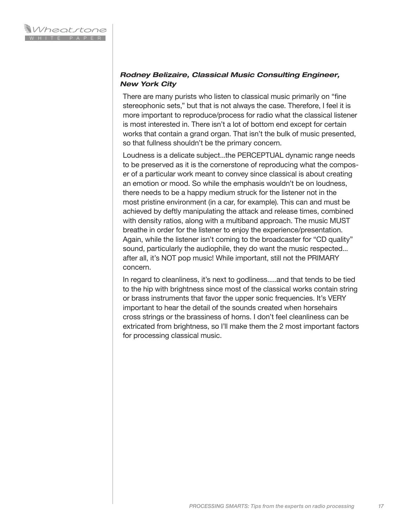# *Rodney Belizaire, Classical Music Consulting Engineer, New York City*

There are many purists who listen to classical music primarily on "fine stereophonic sets," but that is not always the case. Therefore, I feel it is more important to reproduce/process for radio what the classical listener is most interested in. There isn't a lot of bottom end except for certain works that contain a grand organ. That isn't the bulk of music presented, so that fullness shouldn't be the primary concern.

Loudness is a delicate subject...the PERCEPTUAL dynamic range needs to be preserved as it is the cornerstone of reproducing what the composer of a particular work meant to convey since classical is about creating an emotion or mood. So while the emphasis wouldn't be on loudness, there needs to be a happy medium struck for the listener not in the most pristine environment (in a car, for example). This can and must be achieved by deftly manipulating the attack and release times, combined with density ratios, along with a multiband approach. The music MUST breathe in order for the listener to enjoy the experience/presentation. Again, while the listener isn't coming to the broadcaster for "CD quality" sound, particularly the audiophile, they do want the music respected... after all, it's NOT pop music! While important, still not the PRIMARY concern.

In regard to cleanliness, it's next to godliness.....and that tends to be tied to the hip with brightness since most of the classical works contain string or brass instruments that favor the upper sonic frequencies. It's VERY important to hear the detail of the sounds created when horsehairs cross strings or the brassiness of horns. I don't feel cleanliness can be extricated from brightness, so I'll make them the 2 most important factors for processing classical music.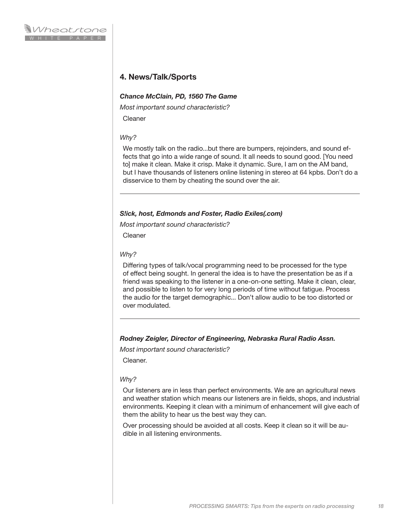# **4. News/Talk/Sports**

# *Chance McClain, PD, 1560 The Game*

*Most important sound characteristic?*

Cleaner

## *Why?*

We mostly talk on the radio...but there are bumpers, rejoinders, and sound effects that go into a wide range of sound. It all needs to sound good. [You need to] make it clean. Make it crisp. Make it dynamic. Sure, I am on the AM band, but I have thousands of listeners online listening in stereo at 64 kpbs. Don't do a disservice to them by cheating the sound over the air.

## *S!ick, host, Edmonds and Foster, Radio Exiles(.com)*

*Most important sound characteristic?*

**Cleaner** 

## *Why?*

Differing types of talk/vocal programming need to be processed for the type of effect being sought. In general the idea is to have the presentation be as if a friend was speaking to the listener in a one-on-one setting. Make it clean, clear, and possible to listen to for very long periods of time without fatigue. Process the audio for the target demographic... Don't allow audio to be too distorted or over modulated.

# *Rodney Zeigler, Director of Engineering, Nebraska Rural Radio Assn.*

*Most important sound characteristic?*

Cleaner.

#### *Why?*

Our listeners are in less than perfect environments. We are an agricultural news and weather station which means our listeners are in fields, shops, and industrial environments. Keeping it clean with a minimum of enhancement will give each of them the ability to hear us the best way they can.

Over processing should be avoided at all costs. Keep it clean so it will be audible in all listening environments.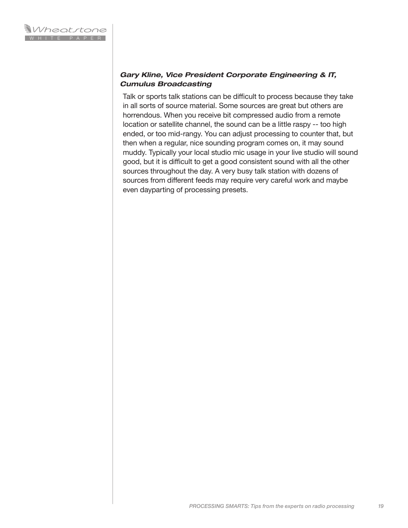# *Gary Kline, Vice President Corporate Engineering & IT, Cumulus Broadcasting*

Talk or sports talk stations can be difficult to process because they take in all sorts of source material. Some sources are great but others are horrendous. When you receive bit compressed audio from a remote location or satellite channel, the sound can be a little raspy -- too high ended, or too mid-rangy. You can adjust processing to counter that, but then when a regular, nice sounding program comes on, it may sound muddy. Typically your local studio mic usage in your live studio will sound good, but it is difficult to get a good consistent sound with all the other sources throughout the day. A very busy talk station with dozens of sources from different feeds may require very careful work and maybe even dayparting of processing presets.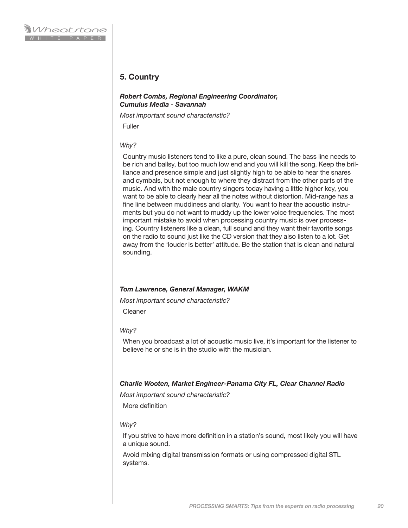# **5. Country**

#### *Robert Combs, Regional Engineering Coordinator, Cumulus Media - Savannah*

*Most important sound characteristic?*

Fuller

#### *Why?*

Country music listeners tend to like a pure, clean sound. The bass line needs to be rich and ballsy, but too much low end and you will kill the song. Keep the brilliance and presence simple and just slightly high to be able to hear the snares and cymbals, but not enough to where they distract from the other parts of the music. And with the male country singers today having a little higher key, you want to be able to clearly hear all the notes without distortion. Mid-range has a fine line between muddiness and clarity. You want to hear the acoustic instruments but you do not want to muddy up the lower voice frequencies. The most important mistake to avoid when processing country music is over processing. Country listeners like a clean, full sound and they want their favorite songs on the radio to sound just like the CD version that they also listen to a lot. Get away from the 'louder is better' attitude. Be the station that is clean and natural sounding.

#### *Tom Lawrence, General Manager, WAKM*

*Most important sound characteristic?*

Cleaner

#### *Why?*

When you broadcast a lot of acoustic music live, it's important for the listener to believe he or she is in the studio with the musician.

#### *Charlie Wooten, Market Engineer-Panama City FL, Clear Channel Radio*

*Most important sound characteristic?*

More definition

#### *Why?*

If you strive to have more definition in a station's sound, most likely you will have a unique sound.

Avoid mixing digital transmission formats or using compressed digital STL systems.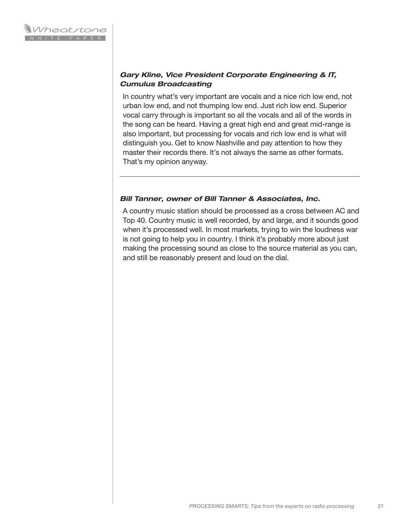# *Gary Kline, Vice President Corporate Engineering & IT, Cumulus Broadcasting*

In country what's very important are vocals and a nice rich low end, not urban low end, and not thumping low end. Just rich low end. Superior vocal carry through is important so all the vocals and all of the words in the song can be heard. Having a great high end and great mid-range is also important, but processing for vocals and rich low end is what will distinguish you. Get to know Nashville and pay attention to how they master their records there. It's not always the same as other formats. That's my opinion anyway.

# *Bill Tanner, owner of Bill Tanner & Associates, Inc.*

A country music station should be processed as a cross between AC and Top 40. Country music is well recorded, by and large, and it sounds good when it's processed well. In most markets, trying to win the loudness war is not going to help you in country. I think it's probably more about just making the processing sound as close to the source material as you can, and still be reasonably present and loud on the dial.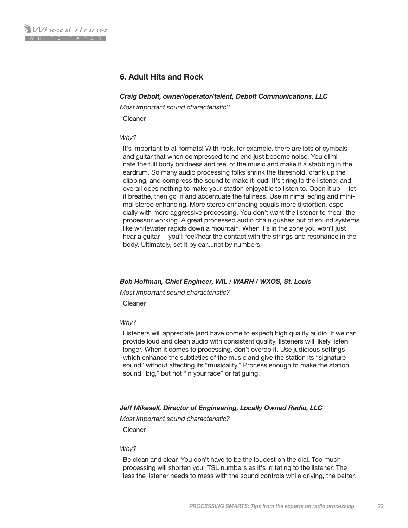# **6. Adult Hits and Rock**

## *Craig Debolt, owner/operator/talent, Debolt Communications, LLC*

*Most important sound characteristic?*

Cleaner

# *Why?*

It's important to all formats! With rock, for example, there are lots of cymbals and guitar that when compressed to no end just become noise. You eliminate the full body boldness and feel of the music and make it a stabbing in the eardrum. So many audio processing folks shrink the threshold, crank up the clipping, and compress the sound to make it loud. It's tiring to the listener and overall does nothing to make your station enjoyable to listen to. Open it up -- let it breathe, then go in and accentuate the fullness. Use minimal eq'ing and minimal stereo enhancing. More stereo enhancing equals more distortion, especially with more aggressive processing. You don't want the listener to 'hear' the processor working. A great processed audio chain gushes out of sound systems like whitewater rapids down a mountain. When it's in the zone you won't just hear a guitar -- you'll feel/hear the contact with the strings and resonance in the body. Ultimately, set it by ear....not by numbers.

# *Bob Hoffman, Chief Engineer, WIL / WARH / WXOS, St. Louis*

*Most important sound characteristic?*

Cleaner

#### *Why?*

Listeners will appreciate (and have come to expect) high quality audio. If we can provide loud and clean audio with consistent quality, listeners will likely listen longer. When it comes to processing, don't overdo it. Use judicious settings which enhance the subtleties of the music and give the station its "signature sound" without affecting its "musicality." Process enough to make the station sound "big," but not "in your face" or fatiguing.

# *Jeff Mikesell, Director of Engineering, Locally Owned Radio, LLC*

*Most important sound characteristic?*

Cleaner

#### *Why?*

Be clean and clear. You don't have to be the loudest on the dial. Too much processing will shorten your TSL numbers as it's irritating to the listener. The less the listener needs to mess with the sound controls while driving, the better.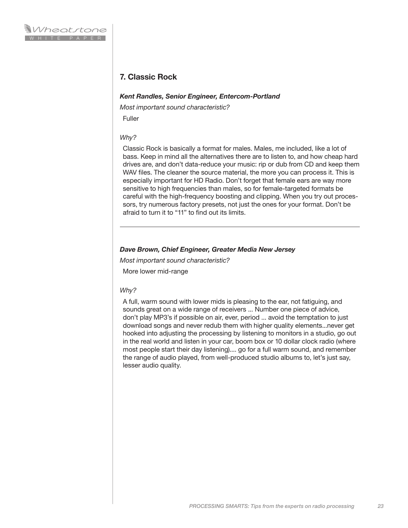# **7. Classic Rock**

## *Kent Randles, Senior Engineer, Entercom-Portland*

*Most important sound characteristic?*

Fuller

# *Why?*

Classic Rock is basically a format for males. Males, me included, like a lot of bass. Keep in mind all the alternatives there are to listen to, and how cheap hard drives are, and don't data-reduce your music: rip or dub from CD and keep them WAV files. The cleaner the source material, the more you can process it. This is especially important for HD Radio. Don't forget that female ears are way more sensitive to high frequencies than males, so for female-targeted formats be careful with the high-frequency boosting and clipping. When you try out processors, try numerous factory presets, not just the ones for your format. Don't be afraid to turn it to "11" to find out its limits.

# *Dave Brown, Chief Engineer, Greater Media New Jersey*

*Most important sound characteristic?*

More lower mid-range

#### *Why?*

A full, warm sound with lower mids is pleasing to the ear, not fatiguing, and sounds great on a wide range of receivers ... Number one piece of advice, don't play MP3's if possible on air, ever, period ... avoid the temptation to just download songs and never redub them with higher quality elements...never get hooked into adjusting the processing by listening to monitors in a studio, go out in the real world and listen in your car, boom box or 10 dollar clock radio (where most people start their day listening).... go for a full warm sound, and remember the range of audio played, from well-produced studio albums to, let's just say, lesser audio quality.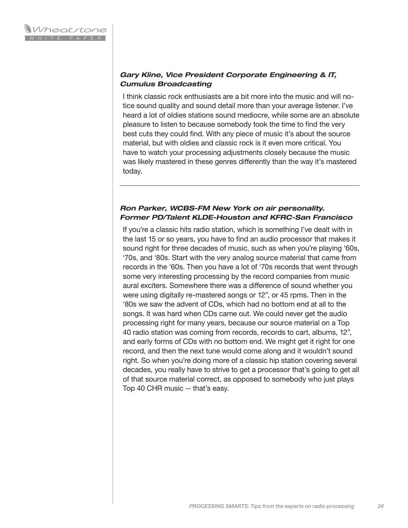# *Gary Kline, Vice President Corporate Engineering & IT, Cumulus Broadcasting*

I think classic rock enthusiasts are a bit more into the music and will notice sound quality and sound detail more than your average listener. I've heard a lot of oldies stations sound mediocre, while some are an absolute pleasure to listen to because somebody took the time to find the very best cuts they could find. With any piece of music it's about the source material, but with oldies and classic rock is it even more critical. You have to watch your processing adjustments closely because the music was likely mastered in these genres differently than the way it's mastered today.

# *Ron Parker, WCBS-FM New York on air personality. Former PD/Talent KLDE-Houston and KFRC-San Francisco*

If you're a classic hits radio station, which is something I've dealt with in the last 15 or so years, you have to find an audio processor that makes it sound right for three decades of music, such as when you're playing '60s, '70s, and '80s. Start with the very analog source material that came from records in the '60s. Then you have a lot of '70s records that went through some very interesting processing by the record companies from music aural exciters. Somewhere there was a difference of sound whether you were using digitally re-mastered songs or 12", or 45 rpms. Then in the '80s we saw the advent of CDs, which had no bottom end at all to the songs. It was hard when CDs came out. We could never get the audio processing right for many years, because our source material on a Top 40 radio station was coming from records, records to cart, albums, 12", and early forms of CDs with no bottom end. We might get it right for one record, and then the next tune would come along and it wouldn't sound right. So when you're doing more of a classic hip station covering several decades, you really have to strive to get a processor that's going to get all of that source material correct, as opposed to somebody who just plays Top 40 CHR music -- that's easy.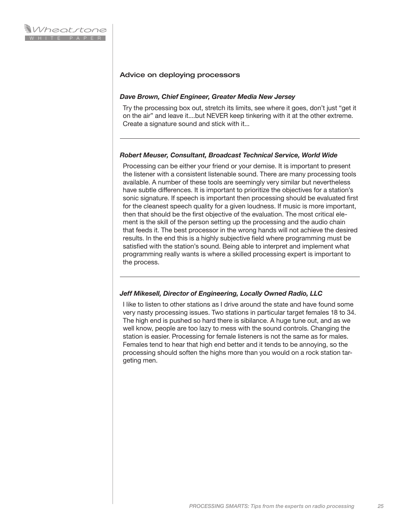## Advice on deploying processors

#### *Dave Brown, Chief Engineer, Greater Media New Jersey*

Try the processing box out, stretch its limits, see where it goes, don't just "get it on the air" and leave it....but NEVER keep tinkering with it at the other extreme. Create a signature sound and stick with it...

#### *Robert Meuser, Consultant, Broadcast Technical Service, World Wide*

Processing can be either your friend or your demise. It is important to present the listener with a consistent listenable sound. There are many processing tools available. A number of these tools are seemingly very similar but nevertheless have subtle differences. It is important to prioritize the objectives for a station's sonic signature. If speech is important then processing should be evaluated first for the cleanest speech quality for a given loudness. If music is more important, then that should be the first objective of the evaluation. The most critical element is the skill of the person setting up the processing and the audio chain that feeds it. The best processor in the wrong hands will not achieve the desired results. In the end this is a highly subjective field where programming must be satisfied with the station's sound. Being able to interpret and implement what programming really wants is where a skilled processing expert is important to the process.

# *Jeff Mikesell, Director of Engineering, Locally Owned Radio, LLC*

I like to listen to other stations as I drive around the state and have found some very nasty processing issues. Two stations in particular target females 18 to 34. The high end is pushed so hard there is sibilance. A huge tune out, and as we well know, people are too lazy to mess with the sound controls. Changing the station is easier. Processing for female listeners is not the same as for males. Females tend to hear that high end better and it tends to be annoying, so the processing should soften the highs more than you would on a rock station targeting men.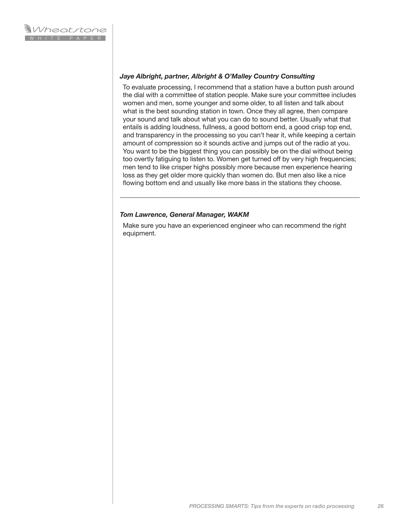## *Jaye Albright, partner, Albright & O'Malley Country Consulting*

To evaluate processing, I recommend that a station have a button push around the dial with a committee of station people. Make sure your committee includes women and men, some younger and some older, to all listen and talk about what is the best sounding station in town. Once they all agree, then compare your sound and talk about what you can do to sound better. Usually what that entails is adding loudness, fullness, a good bottom end, a good crisp top end, and transparency in the processing so you can't hear it, while keeping a certain amount of compression so it sounds active and jumps out of the radio at you. You want to be the biggest thing you can possibly be on the dial without being too overtly fatiguing to listen to. Women get turned off by very high frequencies; men tend to like crisper highs possibly more because men experience hearing loss as they get older more quickly than women do. But men also like a nice flowing bottom end and usually like more bass in the stations they choose.

## *Tom Lawrence, General Manager, WAKM*

Make sure you have an experienced engineer who can recommend the right equipment.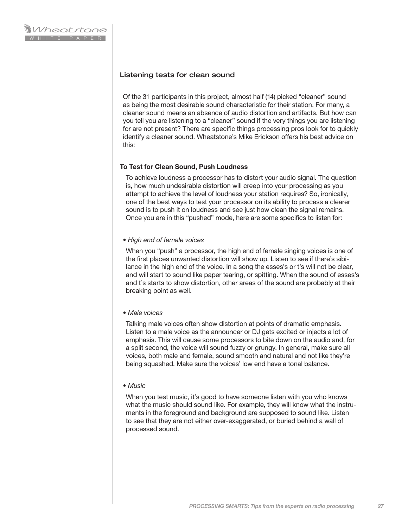## Listening tests for clean sound

Of the 31 participants in this project, almost half (14) picked "cleaner" sound as being the most desirable sound characteristic for their station. For many, a cleaner sound means an absence of audio distortion and artifacts. But how can you tell you are listening to a "cleaner" sound if the very things you are listening for are not present? There are specific things processing pros look for to quickly identify a cleaner sound. Wheatstone's Mike Erickson offers his best advice on this:

## **To Test for Clean Sound, Push Loudness**

To achieve loudness a processor has to distort your audio signal. The question is, how much undesirable distortion will creep into your processing as you attempt to achieve the level of loudness your station requires? So, ironically, one of the best ways to test your processor on its ability to process a clearer sound is to push it on loudness and see just how clean the signal remains. Once you are in this "pushed" mode, here are some specifics to listen for:

#### *• High end of female voices*

When you "push" a processor, the high end of female singing voices is one of the first places unwanted distortion will show up. Listen to see if there's sibilance in the high end of the voice. In a song the esses's or t's will not be clear, and will start to sound like paper tearing, or spitting. When the sound of esses's and t's starts to show distortion, other areas of the sound are probably at their breaking point as well.

#### *• Male voices*

Talking male voices often show distortion at points of dramatic emphasis. Listen to a male voice as the announcer or DJ gets excited or injects a lot of emphasis. This will cause some processors to bite down on the audio and, for a split second, the voice will sound fuzzy or grungy. In general, make sure all voices, both male and female, sound smooth and natural and not like they're being squashed. Make sure the voices' low end have a tonal balance.

#### *• Music*

When you test music, it's good to have someone listen with you who knows what the music should sound like. For example, they will know what the instruments in the foreground and background are supposed to sound like. Listen to see that they are not either over-exaggerated, or buried behind a wall of processed sound.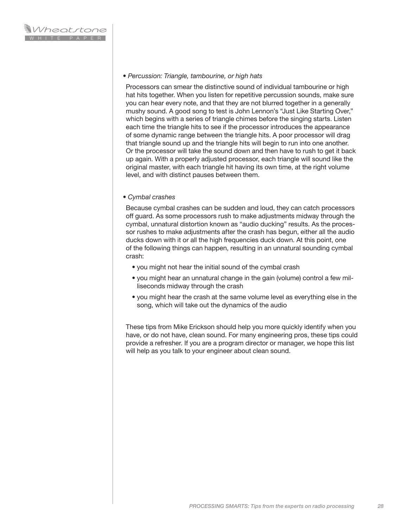#### *• Percussion: Triangle, tambourine, or high hats*

Processors can smear the distinctive sound of individual tambourine or high hat hits together. When you listen for repetitive percussion sounds, make sure you can hear every note, and that they are not blurred together in a generally mushy sound. A good song to test is John Lennon's "Just Like Starting Over," which begins with a series of triangle chimes before the singing starts. Listen each time the triangle hits to see if the processor introduces the appearance of some dynamic range between the triangle hits. A poor processor will drag that triangle sound up and the triangle hits will begin to run into one another. Or the processor will take the sound down and then have to rush to get it back up again. With a properly adjusted processor, each triangle will sound like the original master, with each triangle hit having its own time, at the right volume level, and with distinct pauses between them.

#### *• Cymbal crashes*

Because cymbal crashes can be sudden and loud, they can catch processors off guard. As some processors rush to make adjustments midway through the cymbal, unnatural distortion known as "audio ducking" results. As the processor rushes to make adjustments after the crash has begun, either all the audio ducks down with it or all the high frequencies duck down. At this point, one of the following things can happen, resulting in an unnatural sounding cymbal crash:

- you might not hear the initial sound of the cymbal crash
- you might hear an unnatural change in the gain (volume) control a few milliseconds midway through the crash
- you might hear the crash at the same volume level as everything else in the song, which will take out the dynamics of the audio

These tips from Mike Erickson should help you more quickly identify when you have, or do not have, clean sound. For many engineering pros, these tips could provide a refresher. If you are a program director or manager, we hope this list will help as you talk to your engineer about clean sound.